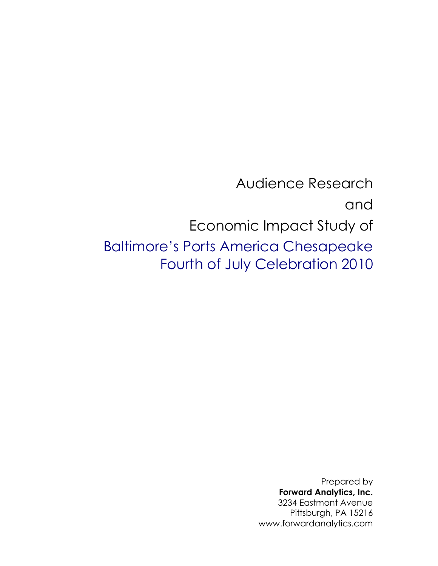Audience Research and Economic Impact Study of Baltimore"s Ports America Chesapeake Fourth of July Celebration 2010

> Prepared by **Forward Analytics, Inc.** 3234 Eastmont Avenue Pittsburgh, PA 15216 www.forwardanalytics.com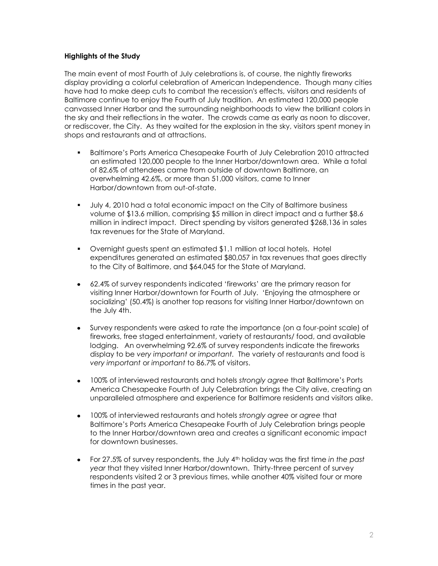## **Highlights of the Study**

The main event of most Fourth of July celebrations is, of course, the nightly fireworks display providing a colorful celebration of American Independence. Though many cities have had to make deep cuts to combat the recession's effects, visitors and residents of Baltimore continue to enjoy the Fourth of July tradition. An estimated 120,000 people canvassed Inner Harbor and the surrounding neighborhoods to view the brilliant colors in the sky and their reflections in the water. The crowds came as early as noon to discover, or rediscover, the City. As they waited for the explosion in the sky, visitors spent money in shops and restaurants and at attractions.

- Baltimore"s Ports America Chesapeake Fourth of July Celebration 2010 attracted an estimated 120,000 people to the Inner Harbor/downtown area. While a total of 82.6% of attendees came from outside of downtown Baltimore, an overwhelming 42.6%, or more than 51,000 visitors, came to Inner Harbor/downtown from out-of-state.
- July 4, 2010 had a total economic impact on the City of Baltimore business volume of \$13.6 million, comprising \$5 million in direct impact and a further \$8.6 million in indirect impact. Direct spending by visitors generated \$268,136 in sales tax revenues for the State of Maryland.
- Overnight guests spent an estimated \$1.1 million at local hotels. Hotel expenditures generated an estimated \$80,057 in tax revenues that goes directly to the City of Baltimore, and \$64,045 for the State of Maryland.
- 62.4% of survey respondents indicated "fireworks" are the primary reason for visiting Inner Harbor/downtown for Fourth of July. "Enjoying the atmosphere or socializing" (50.4%) is another top reasons for visiting Inner Harbor/downtown on the July 4th.
- Survey respondents were asked to rate the importance (on a four-point scale) of fireworks, free staged entertainment, variety of restaurants/ food, and available lodging. An overwhelming 92.6% of survey respondents indicate the fireworks display to be *very important* or *important.* The variety of restaurants and food is *very important* or *important* to 86.7% of visitors.
- 100% of interviewed restaurants and hotels *strongly agree* that Baltimore"s Ports America Chesapeake Fourth of July Celebration brings the City alive, creating an unparalleled atmosphere and experience for Baltimore residents and visitors alike.
- 100% of interviewed restaurants and hotels *strongly agree* or *agree* that  $\bullet$ Baltimore"s Ports America Chesapeake Fourth of July Celebration brings people to the Inner Harbor/downtown area and creates a significant economic impact for downtown businesses.
- For 27.5% of survey respondents, the July 4th holiday was the first time *in the past year* that they visited Inner Harbor/downtown. Thirty-three percent of survey respondents visited 2 or 3 previous times, while another 40% visited four or more times in the past year.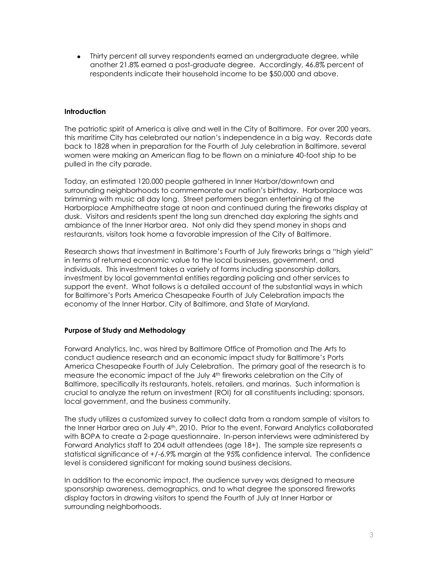Thirty percent all survey respondents earned an undergraduate degree, while another 21.8% earned a post-graduate degree. Accordingly, 46.8% percent of respondents indicate their household income to be \$50,000 and above.

### **Introduction**

The patriotic spirit of America is alive and well in the City of Baltimore. For over 200 years, this maritime City has celebrated our nation"s independence in a big way. Records date back to 1828 when in preparation for the Fourth of July celebration in Baltimore, several women were making an American flag to be flown on a miniature 40-foot ship to be pulled in the city parade.

Today, an estimated 120,000 people gathered in Inner Harbor/downtown and surrounding neighborhoods to commemorate our nation"s birthday. Harborplace was brimming with music all day long. Street performers began entertaining at the Harborplace Amphitheatre stage at noon and continued during the fireworks display at dusk. Visitors and residents spent the long sun drenched day exploring the sights and ambiance of the Inner Harbor area. Not only did they spend money in shops and restaurants, visitors took home a favorable impression of the City of Baltimore.

Research shows that investment in Baltimore"s Fourth of July fireworks brings a "high yield" in terms of returned economic value to the local businesses, government, and individuals. This investment takes a variety of forms including sponsorship dollars, investment by local governmental entities regarding policing and other services to support the event. What follows is a detailed account of the substantial ways in which for Baltimore"s Ports America Chesapeake Fourth of July Celebration impacts the economy of the Inner Harbor, City of Baltimore, and State of Maryland.

## **Purpose of Study and Methodology**

Forward Analytics, Inc. was hired by Baltimore Office of Promotion and The Arts to conduct audience research and an economic impact study for Baltimore"s Ports America Chesapeake Fourth of July Celebration. The primary goal of the research is to measure the economic impact of the July 4th fireworks celebration on the City of Baltimore, specifically its restaurants, hotels, retailers, and marinas. Such information is crucial to analyze the return on investment (ROI) for all constituents including; sponsors, local government, and the business community.

The study utilizes a customized survey to collect data from a random sample of visitors to the Inner Harbor area on July 4<sup>th</sup>, 2010. Prior to the event, Forward Analytics collaborated with BOPA to create a 2-page questionnaire. In-person interviews were administered by Forward Analytics staff to 204 adult attendees (age 18+). The sample size represents a statistical significance of +/-6.9% margin at the 95% confidence interval. The confidence level is considered significant for making sound business decisions.

In addition to the economic impact, the audience survey was designed to measure sponsorship awareness, demographics, and to what degree the sponsored fireworks display factors in drawing visitors to spend the Fourth of July at Inner Harbor or surrounding neighborhoods.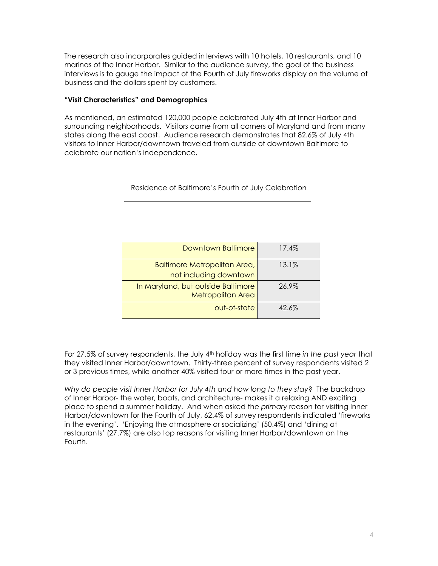The research also incorporates guided interviews with 10 hotels, 10 restaurants, and 10 marinas of the Inner Harbor. Similar to the audience survey, the goal of the business interviews is to gauge the impact of the Fourth of July fireworks display on the volume of business and the dollars spent by customers.

## **"Visit Characteristics" and Demographics**

As mentioned, an estimated 120,000 people celebrated July 4th at Inner Harbor and surrounding neighborhoods. Visitors came from all corners of Maryland and from many states along the east coast. Audience research demonstrates that 82.6% of July 4th visitors to Inner Harbor/downtown traveled from outside of downtown Baltimore to celebrate our nation"s independence.

Residence of Baltimore"s Fourth of July Celebration

| Downtown Baltimore                                            | 17.4%    |
|---------------------------------------------------------------|----------|
| <b>Baltimore Metropolitan Area,</b><br>not including downtown | $13.1\%$ |
| In Maryland, but outside Baltimore<br>Metropolitan Area       | 26.9%    |
| out-of-state                                                  | $42.6\%$ |

For 27.5% of survey respondents, the July 4th holiday was the first time *in the past year* that they visited Inner Harbor/downtown. Thirty-three percent of survey respondents visited 2 or 3 previous times, while another 40% visited four or more times in the past year.

*Why do people visit Inner Harbor for July 4th and how long to they stay*? The backdrop of Inner Harbor- the water, boats, and architecture- makes it a relaxing AND exciting place to spend a summer holiday. And when asked the *primary* reason for visiting Inner Harbor/downtown for the Fourth of July, 62.4% of survey respondents indicated "fireworks in the evening". "Enjoying the atmosphere or socializing" (50.4%) and "dining at restaurants" (27.7%) are also top reasons for visiting Inner Harbor/downtown on the Fourth.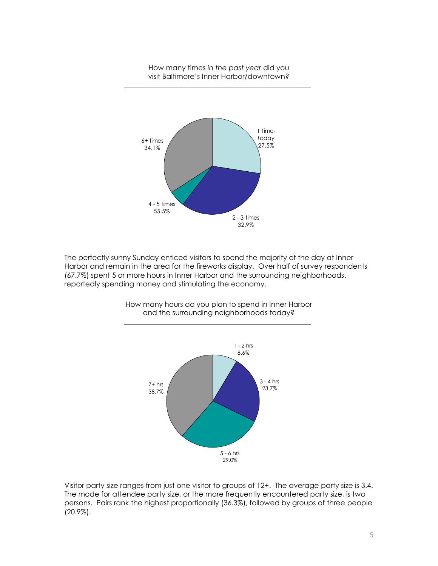How many times *in the past year* did you visit Baltimore"s Inner Harbor/downtown?



The perfectly sunny Sunday enticed visitors to spend the majority of the day at Inner Harbor and remain in the area for the fireworks display. Over half of survey respondents (67.7%) spent 5 or more hours in Inner Harbor and the surrounding neighborhoods, reportedly spending money and stimulating the economy.



How many hours do you plan to spend in Inner Harbor and the surrounding neighborhoods today?

Visitor party size ranges from just one visitor to groups of 12+. The average party size is 3.4. The mode for attendee party size, or the more frequently encountered party size, is two persons. Pairs rank the highest proportionally (36.3%), followed by groups of three people (20.9%).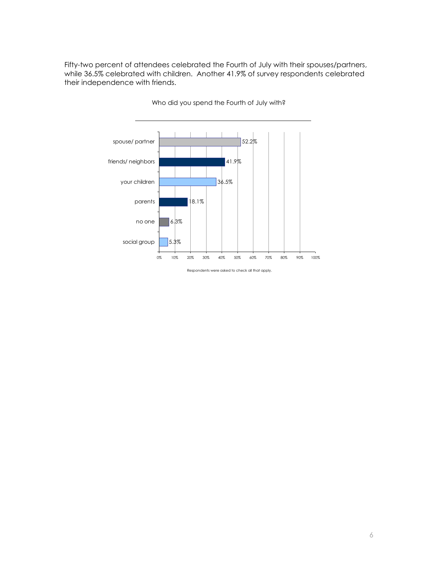Fifty-two percent of attendees celebrated the Fourth of July with their spouses/partners, while 36.5% celebrated with children. Another 41.9% of survey respondents celebrated their independence with friends.



Who did you spend the Fourth of July with?

Respondents were asked to check all that apply.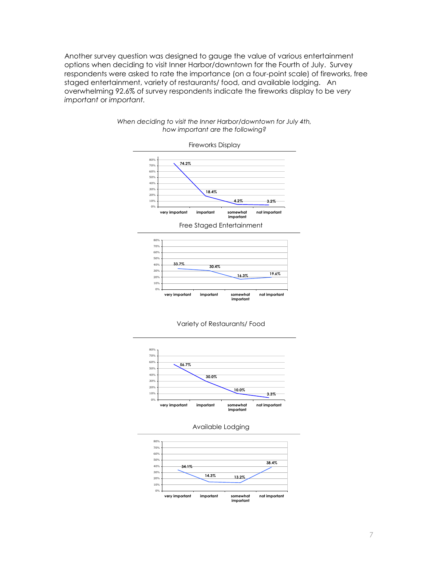Another survey question was designed to gauge the value of various entertainment options when deciding to visit Inner Harbor/downtown for the Fourth of July. Survey respondents were asked to rate the importance (on a four-point scale) of fireworks, free staged entertainment, variety of restaurants/ food, and available lodging. An overwhelming 92.6% of survey respondents indicate the fireworks display to be *very important* or *important.*



#### *When deciding to visit the Inner Harbor/downtown for July 4th, how important are the following?*







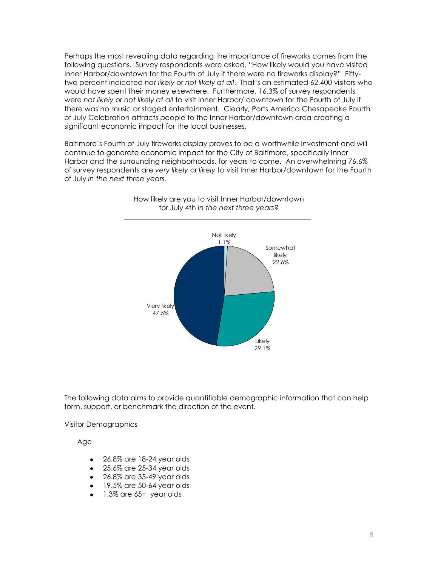Perhaps the most revealing data regarding the importance of fireworks comes from the following questions. Survey respondents were asked, "How likely would you have visited Inner Harbor/downtown for the Fourth of July if there were no fireworks display?" Fiftytwo percent indicated *not likely* or *not likely at all*. That"s an estimated 62,400 visitors who would have spent their money elsewhere. Furthermore, 16.3% of survey respondents were *not likely* or *not likely at all* to visit Inner Harbor/ downtown for the Fourth of July if there was no music or staged entertainment. Clearly, Ports America Chesapeake Fourth of July Celebration attracts people to the Inner Harbor/downtown area creating a significant economic impact for the local businesses.

Baltimore"s Fourth of July fireworks display proves to be a worthwhile investment and will continue to generate economic impact for the City of Baltimore, specifically Inner Harbor and the surrounding neighborhoods, for years to come. An overwhelming 76.6% of survey respondents are *very likely* or *likely* to visit Inner Harbor/downtown for the Fourth of July *in the next three years*.



How likely are you to visit Inner Harbor/downtown for July 4th *in the next three years*?

The following data aims to provide quantifiable demographic information that can help form, support, or benchmark the direction of the event.

Visitor Demographics

Age

- 26.8% are 18-24 year olds
- 25.6% are 25-34 year olds
- 26.8% are 35-49 year olds
- $\bullet$  19.5% are 50-64 year olds
- 1.3% are 65+ year olds  $\bullet$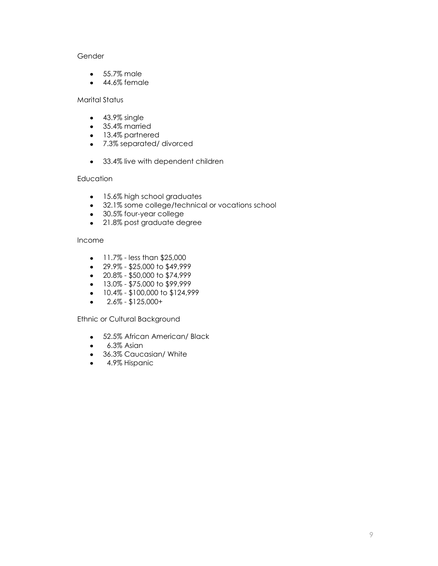# Gender

- 55.7% male
- 44.6% female

# Marital Status

- 43.9% single
- 35.4% married
- 13.4% partnered
- 7.3% separated/ divorced
- 33.4% live with dependent children

## **Education**

- 15.6% high school graduates
- 32.1% some college/technical or vocations school
- 30.5% four-year college
- 21.8% post graduate degree

## Income

- $\bullet$  11.7% less than \$25,000
- $\bullet$  29.9% \$25,000 to \$49,999
- $\cdot$  20.8% \$50,000 to \$74,999
- $\bullet$  13.0% \$75,000 to \$99,999
- $\bullet$  10.4% \$100,000 to \$124,999
- 2.6% \$125,000+  $\bullet$

Ethnic or Cultural Background

- 52.5% African American/ Black
- 6.3% Asian  $\bullet$
- 36.3% Caucasian/ White
- **4.9% Hispanic**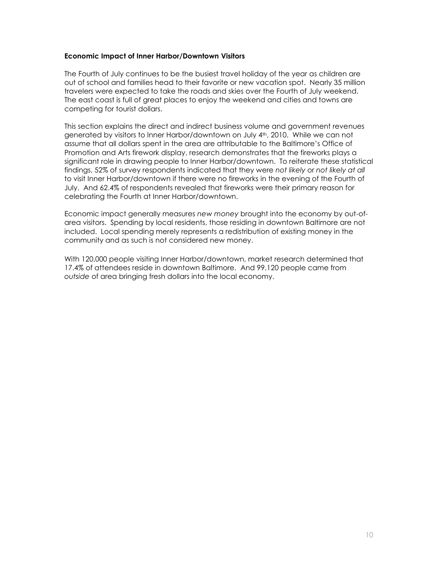#### **Economic Impact of Inner Harbor/Downtown Visitors**

The Fourth of July continues to be the busiest travel holiday of the year as children are out of school and families head to their favorite or new vacation spot. Nearly 35 million travelers were expected to take the roads and skies over the Fourth of July weekend. The east coast is full of great places to enjoy the weekend and cities and towns are competing for tourist dollars.

This section explains the direct and indirect business volume and government revenues generated by visitors to Inner Harbor/downtown on July 4th, 2010. While we can not assume that all dollars spent in the area are attributable to the Baltimore"s Office of Promotion and Arts firework display, research demonstrates that the fireworks plays a significant role in drawing people to Inner Harbor/downtown. To reiterate these statistical findings, 52% of survey respondents indicated that they were *not likely* or *not likely at all* to visit Inner Harbor/downtown if there were no fireworks in the evening of the Fourth of July. And 62.4% of respondents revealed that fireworks were their primary reason for celebrating the Fourth at Inner Harbor/downtown.

Economic impact generally measures *new money* brought into the economy by out-ofarea visitors. Spending by local residents, those residing in downtown Baltimore are not included. Local spending merely represents a redistribution of existing money in the community and as such is not considered new money.

With 120,000 people visiting Inner Harbor/downtown, market research determined that 17.4% of attendees reside in downtown Baltimore. And 99,120 people came from *outside* of area bringing fresh dollars into the local economy.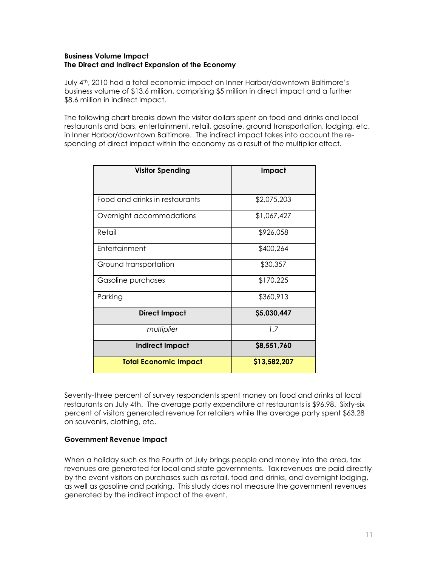### **Business Volume Impact The Direct and Indirect Expansion of the Economy**

July 4<sup>th</sup>, 2010 had a total economic impact on Inner Harbor/downtown Baltimore's business volume of \$13.6 million, comprising \$5 million in direct impact and a further \$8.6 million in indirect impact.

The following chart breaks down the visitor dollars spent on food and drinks and local restaurants and bars, entertainment, retail, gasoline, ground transportation, lodging, etc. in Inner Harbor/downtown Baltimore. The indirect impact takes into account the respending of direct impact within the economy as a result of the multiplier effect.

| <b>Visitor Spending</b>        | Impact       |
|--------------------------------|--------------|
|                                |              |
| Food and drinks in restaurants | \$2,075,203  |
| Overnight accommodations       | \$1,067,427  |
| Retail                         | \$926,058    |
| <b>Entertainment</b>           | \$400,264    |
| Ground transportation          | \$30,357     |
| Gasoline purchases             | \$170,225    |
| Parking                        | \$360,913    |
| <b>Direct Impact</b>           | \$5,030,447  |
| multiplier                     | 1.7          |
| <b>Indirect Impact</b>         | \$8,551,760  |
| <b>Total Economic Impact</b>   | \$13,582,207 |

Seventy-three percent of survey respondents spent money on food and drinks at local restaurants on July 4th. The average party expenditure at restaurants is \$96.98. Sixty-six percent of visitors generated revenue for retailers while the average party spent \$63.28 on souvenirs, clothing, etc.

## **Government Revenue Impact**

When a holiday such as the Fourth of July brings people and money into the area, tax revenues are generated for local and state governments. Tax revenues are paid directly by the event visitors on purchases such as retail, food and drinks, and overnight lodging, as well as gasoline and parking. This study does not measure the government revenues generated by the indirect impact of the event.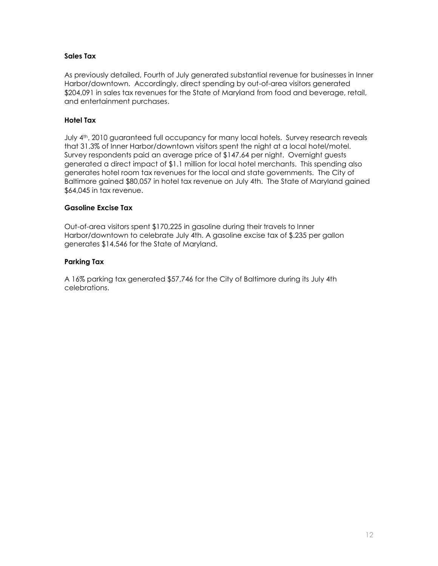## **Sales Tax**

As previously detailed, Fourth of July generated substantial revenue for businesses in Inner Harbor/downtown. Accordingly, direct spending by out-of-area visitors generated \$204,091 in sales tax revenues for the State of Maryland from food and beverage, retail, and entertainment purchases.

## **Hotel Tax**

July 4th, 2010 guaranteed full occupancy for many local hotels. Survey research reveals that 31.3% of Inner Harbor/downtown visitors spent the night at a local hotel/motel. Survey respondents paid an average price of \$147.64 per night. Overnight guests generated a direct impact of \$1.1 million for local hotel merchants. This spending also generates hotel room tax revenues for the local and state governments. The City of Baltimore gained \$80,057 in hotel tax revenue on July 4th. The State of Maryland gained \$64,045 in tax revenue.

### **Gasoline Excise Tax**

Out-of-area visitors spent \$170,225 in gasoline during their travels to Inner Harbor/downtown to celebrate July 4th. A gasoline excise tax of \$.235 per gallon generates \$14,546 for the State of Maryland.

## **Parking Tax**

A 16% parking tax generated \$57,746 for the City of Baltimore during its July 4th celebrations.